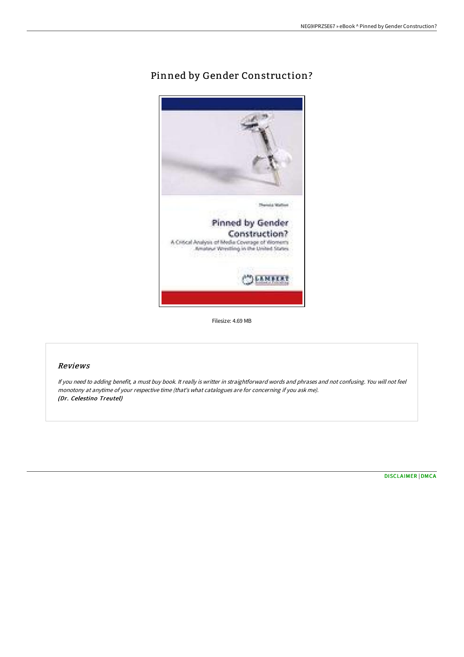# Pinned by Gender Construction?



Filesize: 4.69 MB

# Reviews

If you need to adding benefit, <sup>a</sup> must buy book. It really is writter in straightforward words and phrases and not confusing. You will not feel monotony at anytime of your respective time (that's what catalogues are for concerning if you ask me). (Dr. Celestino Treutel)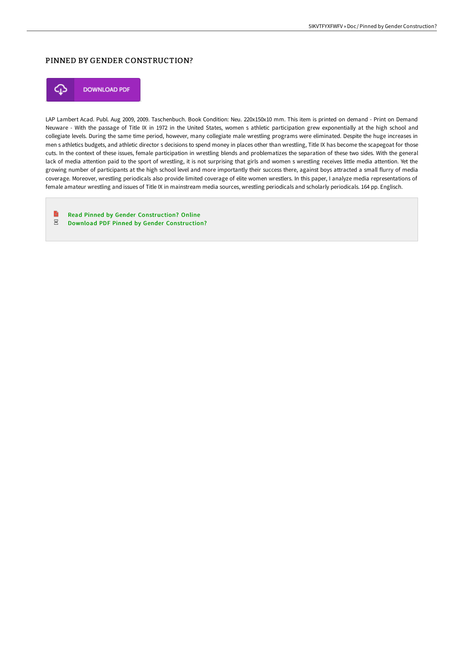## PINNED BY GENDER CONSTRUCTION?



**DOWNLOAD PDF** 

LAP Lambert Acad. Publ. Aug 2009, 2009. Taschenbuch. Book Condition: Neu. 220x150x10 mm. This item is printed on demand - Print on Demand Neuware - With the passage of Title IX in 1972 in the United States, women s athletic participation grew exponentially at the high school and collegiate levels. During the same time period, however, many collegiate male wrestling programs were eliminated. Despite the huge increases in men s athletics budgets, and athletic director s decisions to spend money in places other than wrestling, Title IX has become the scapegoat for those cuts. In the context of these issues, female participation in wrestling blends and problematizes the separation of these two sides. With the general lack of media attention paid to the sport of wrestling, it is not surprising that girls and women s wrestling receives little media attention. Yet the growing number of participants at the high school level and more importantly their success there, against boys attracted a small flurry of media coverage. Moreover, wrestling periodicals also provide limited coverage of elite women wrestlers. In this paper, I analyze media representations of female amateur wrestling and issues of Title IX in mainstream media sources, wrestling periodicals and scholarly periodicals. 164 pp. Englisch.

B Read Pinned by Gender [Construction?](http://bookera.tech/pinned-by-gender-construction.html) Online  $_{\rm PDF}$ Download PDF Pinned by Gender [Construction?](http://bookera.tech/pinned-by-gender-construction.html)